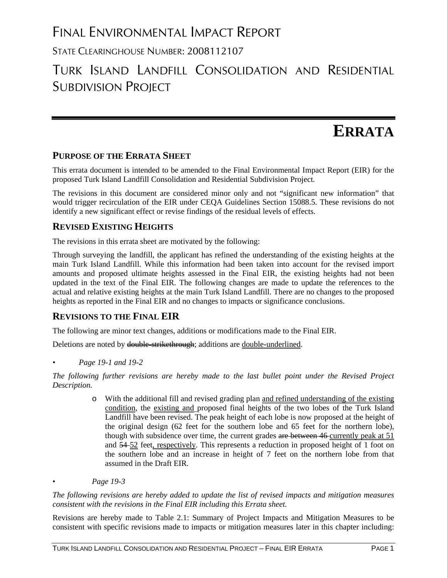# FINAL ENVIRONMENTAL IMPACT REPORT

STATE CLEARINGHOUSE NUMBER: 2008112107

## TURK ISLAND LANDFILL CONSOLIDATION AND RESIDENTIAL SUBDIVISION PROJECT

# **ERRATA**

### **PURPOSE OF THE ERRATA SHEET**

This errata document is intended to be amended to the Final Environmental Impact Report (EIR) for the proposed Turk Island Landfill Consolidation and Residential Subdivision Project.

The revisions in this document are considered minor only and not "significant new information" that would trigger recirculation of the EIR under CEQA Guidelines Section 15088.5. These revisions do not identify a new significant effect or revise findings of the residual levels of effects.

### **REVISED EXISTING HEIGHTS**

The revisions in this errata sheet are motivated by the following:

Through surveying the landfill, the applicant has refined the understanding of the existing heights at the main Turk Island Landfill. While this information had been taken into account for the revised import amounts and proposed ultimate heights assessed in the Final EIR, the existing heights had not been updated in the text of the Final EIR. The following changes are made to update the references to the actual and relative existing heights at the main Turk Island Landfill. There are no changes to the proposed heights as reported in the Final EIR and no changes to impacts or significance conclusions.

## **REVISIONS TO THE FINAL EIR**

The following are minor text changes, additions or modifications made to the Final EIR.

Deletions are noted by double-strikethrough; additions are double-underlined.

*• Page 19-1 and 19-2* 

*The following further revisions are hereby made to the last bullet point under the Revised Project Description.* 

- o With the additional fill and revised grading plan and refined understanding of the existing condition, the existing and proposed final heights of the two lobes of the Turk Island Landfill have been revised. The peak height of each lobe is now proposed at the height of the original design (62 feet for the southern lobe and 65 feet for the northern lobe), though with subsidence over time, the current grades are between 46 currently peak at 51 and 54 52 feet, respectively. This represents a reduction in proposed height of 1 foot on the southern lobe and an increase in height of 7 feet on the northern lobe from that assumed in the Draft EIR.
- *Page 19-3*

*The following revisions are hereby added to update the list of revised impacts and mitigation measures consistent with the revisions in the Final EIR including this Errata sheet.* 

Revisions are hereby made to Table 2.1: Summary of Project Impacts and Mitigation Measures to be consistent with specific revisions made to impacts or mitigation measures later in this chapter including: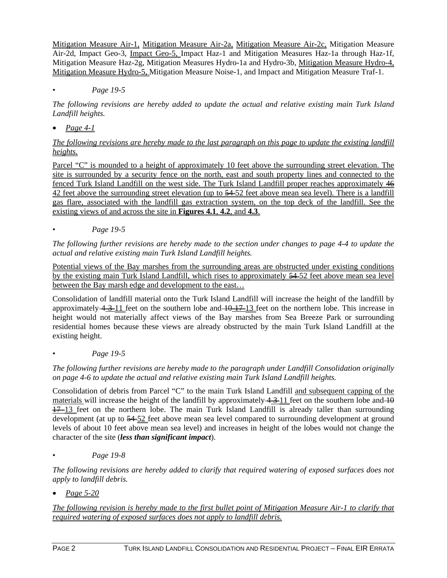Mitigation Measure Air-1, Mitigation Measure Air-2a, Mitigation Measure Air-2c, Mitigation Measure Air-2d, Impact Geo-3, Impact Geo-5, Impact Haz-1 and Mitigation Measures Haz-1a through Haz-1f, Mitigation Measure Haz-2g, Mitigation Measures Hydro-1a and Hydro-3b, Mitigation Measure Hydro-4, Mitigation Measure Hydro-5, Mitigation Measure Noise-1, and Impact and Mitigation Measure Traf-1.

#### • *Page 19-5*

*The following revisions are hereby added to update the actual and relative existing main Turk Island Landfill heights.* 

*Page 4-1* 

*The following revisions are hereby made to the last paragraph on this page to update the existing landfill heights.* 

Parcel "C" is mounded to a height of approximately 10 feet above the surrounding street elevation. The site is surrounded by a security fence on the north, east and south property lines and connected to the fenced Turk Island Landfill on the west side. The Turk Island Landfill proper reaches approximately 46 42 feet above the surrounding street elevation (up to 54–52 feet above mean sea level). There is a landfill gas flare, associated with the landfill gas extraction system, on the top deck of the landfill. See the existing views of and across the site in **Figures 4.1**, **4.2**, and **4.3**.

• *Page 19-5* 

*The following further revisions are hereby made to the section under changes to page 4-4 to update the actual and relative existing main Turk Island Landfill heights.* 

Potential views of the Bay marshes from the surrounding areas are obstructed under existing conditions by the existing main Turk Island Landfill, which rises to approximately 54 52 feet above mean sea level between the Bay marsh edge and development to the east…

Consolidation of landfill material onto the Turk Island Landfill will increase the height of the landfill by approximately  $4-3-11$  feet on the southern lobe and  $10-17-13$  feet on the northern lobe. This increase in height would not materially affect views of the Bay marshes from Sea Breeze Park or surrounding residential homes because these views are already obstructed by the main Turk Island Landfill at the existing height.

• *Page 19-5* 

*The following further revisions are hereby made to the paragraph under Landfill Consolidation originally on page 4-6 to update the actual and relative existing main Turk Island Landfill heights.* 

Consolidation of debris from Parcel "C" to the main Turk Island Landfill and subsequent capping of the materials will increase the height of the landfill by approximately  $4\rightarrow 11$  feet on the southern lobe and  $\rightarrow 0$  $\frac{17}{2}$  feet on the northern lobe. The main Turk Island Landfill is already taller than surrounding development (at up to  $\frac{54}{22}$  feet above mean sea level compared to surrounding development at ground levels of about 10 feet above mean sea level) and increases in height of the lobes would not change the character of the site (*less than significant impact*).

• *Page 19-8* 

*The following revisions are hereby added to clarify that required watering of exposed surfaces does not apply to landfill debris.* 

*Page 5-20* 

*The following revision is hereby made to the first bullet point of Mitigation Measure Air-1 to clarify that required watering of exposed surfaces does not apply to landfill debris.*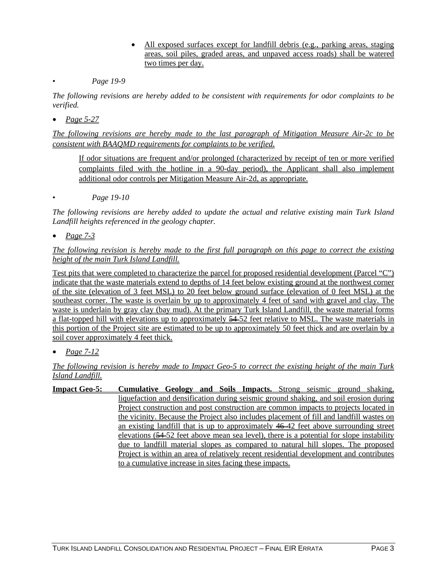- All exposed surfaces except for landfill debris (e.g., parking areas, staging areas, soil piles, graded areas, and unpaved access roads) shall be watered two times per day.
- *Page 19-9*

*The following revisions are hereby added to be consistent with requirements for odor complaints to be verified.* 

*Page 5-27* 

*The following revisions are hereby made to the last paragraph of Mitigation Measure Air-2c to be consistent with BAAQMD requirements for complaints to be verified.* 

If odor situations are frequent and/or prolonged (characterized by receipt of ten or more verified complaints filed with the hotline in a 90-day period), the Applicant shall also implement additional odor controls per Mitigation Measure Air-2d, as appropriate.

• *Page 19-10* 

*The following revisions are hereby added to update the actual and relative existing main Turk Island Landfill heights referenced in the geology chapter.* 

*Page 7-3* 

*The following revision is hereby made to the first full paragraph on this page to correct the existing height of the main Turk Island Landfill.* 

Test pits that were completed to characterize the parcel for proposed residential development (Parcel "C") indicate that the waste materials extend to depths of 14 feet below existing ground at the northwest corner of the site (elevation of 3 feet MSL) to 20 feet below ground surface (elevation of 0 feet MSL) at the southeast corner. The waste is overlain by up to approximately 4 feet of sand with gravel and clay. The waste is underlain by gray clay (bay mud). At the primary Turk Island Landfill, the waste material forms a flat-topped hill with elevations up to approximately  $\frac{54}{52}$  feet relative to MSL. The waste materials in this portion of the Project site are estimated to be up to approximately 50 feet thick and are overlain by a soil cover approximately 4 feet thick.

*Page 7-12* 

#### *The following revision is hereby made to Impact Geo-5 to correct the existing height of the main Turk Island Landfill.*

**Impact Geo-5: Cumulative Geology and Soils Impacts.** Strong seismic ground shaking, liquefaction and densification during seismic ground shaking, and soil erosion during Project construction and post construction are common impacts to projects located in the vicinity. Because the Project also includes placement of fill and landfill wastes on an existing landfill that is up to approximately  $46-42$  feet above surrounding street elevations (54 52 feet above mean sea level), there is a potential for slope instability due to landfill material slopes as compared to natural hill slopes. The proposed Project is within an area of relatively recent residential development and contributes to a cumulative increase in sites facing these impacts.